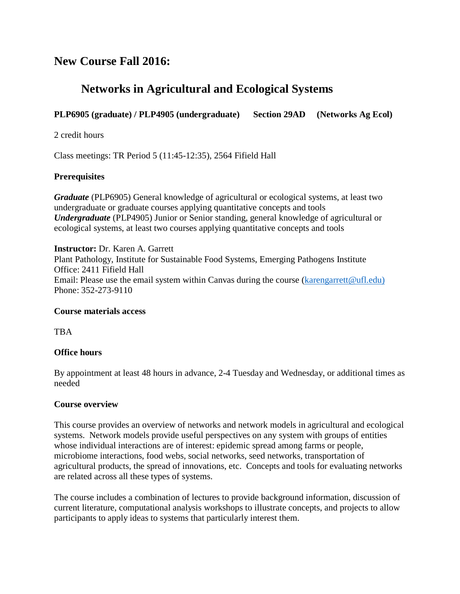# **New Course Fall 2016:**

# **Networks in Agricultural and Ecological Systems**

## **PLP6905 (graduate) / PLP4905 (undergraduate) Section 29AD (Networks Ag Ecol)**

2 credit hours

Class meetings: TR Period 5 (11:45-12:35), 2564 Fifield Hall

#### **Prerequisites**

*Graduate* (PLP6905) General knowledge of agricultural or ecological systems, at least two undergraduate or graduate courses applying quantitative concepts and tools *Undergraduate* (PLP4905) Junior or Senior standing, general knowledge of agricultural or ecological systems, at least two courses applying quantitative concepts and tools

**Instructor:** Dr. Karen A. Garrett Plant Pathology, Institute for Sustainable Food Systems, Emerging Pathogens Institute Office: 2411 Fifield Hall Email: Please use the email system within Canvas during the course [\(karengarrett@ufl.edu\)](mailto:karengarrett@ufl.edu) Phone: 352-273-9110

#### **Course materials access**

TBA

#### **Office hours**

By appointment at least 48 hours in advance, 2-4 Tuesday and Wednesday, or additional times as needed

#### **Course overview**

This course provides an overview of networks and network models in agricultural and ecological systems. Network models provide useful perspectives on any system with groups of entities whose individual interactions are of interest: epidemic spread among farms or people, microbiome interactions, food webs, social networks, seed networks, transportation of agricultural products, the spread of innovations, etc. Concepts and tools for evaluating networks are related across all these types of systems.

The course includes a combination of lectures to provide background information, discussion of current literature, computational analysis workshops to illustrate concepts, and projects to allow participants to apply ideas to systems that particularly interest them.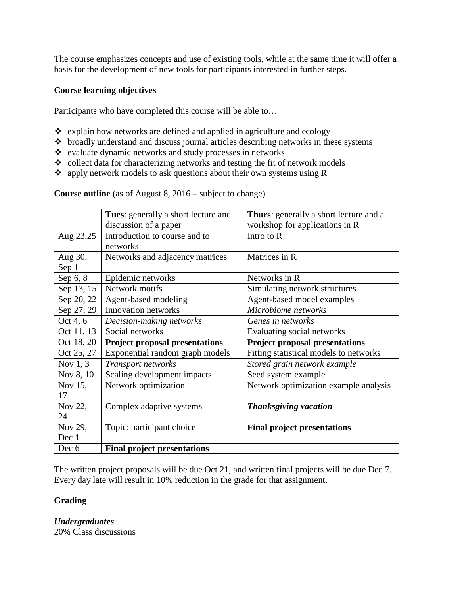The course emphasizes concepts and use of existing tools, while at the same time it will offer a basis for the development of new tools for participants interested in further steps.

### **Course learning objectives**

Participants who have completed this course will be able to…

- $\triangleleft$  explain how networks are defined and applied in agriculture and ecology
- $\triangle$  broadly understand and discuss journal articles describing networks in these systems
- evaluate dynamic networks and study processes in networks
- $\bullet$  collect data for characterizing networks and testing the fit of network models
- $\triangle$  apply network models to ask questions about their own systems using R

**Course outline** (as of August 8, 2016 – subject to change)

|            | Tues: generally a short lecture and   | <b>Thurs:</b> generally a short lecture and a |
|------------|---------------------------------------|-----------------------------------------------|
|            | discussion of a paper                 | workshop for applications in R                |
| Aug 23,25  | Introduction to course and to         | Intro to R                                    |
|            | networks                              |                                               |
| Aug 30,    | Networks and adjacency matrices       | Matrices in R                                 |
| Sep 1      |                                       |                                               |
| Sep 6, 8   | Epidemic networks                     | Networks in R                                 |
| Sep 13, 15 | Network motifs                        | Simulating network structures                 |
| Sep 20, 22 | Agent-based modeling                  | Agent-based model examples                    |
| Sep 27, 29 | Innovation networks                   | Microbiome networks                           |
| Oct 4, 6   | Decision-making networks              | Genes in networks                             |
| Oct 11, 13 | Social networks                       | Evaluating social networks                    |
| Oct 18, 20 | <b>Project proposal presentations</b> | <b>Project proposal presentations</b>         |
| Oct 25, 27 | Exponential random graph models       | Fitting statistical models to networks        |
| Nov $1, 3$ | Transport networks                    | Stored grain network example                  |
| Nov 8, 10  | Scaling development impacts           | Seed system example                           |
| Nov 15,    | Network optimization                  | Network optimization example analysis         |
| 17         |                                       |                                               |
| Nov 22,    | Complex adaptive systems              | <b>Thanksgiving vacation</b>                  |
| 24         |                                       |                                               |
| Nov 29,    | Topic: participant choice             | <b>Final project presentations</b>            |
| Dec 1      |                                       |                                               |
| Dec 6      | <b>Final project presentations</b>    |                                               |

The written project proposals will be due Oct 21, and written final projects will be due Dec 7. Every day late will result in 10% reduction in the grade for that assignment.

#### **Grading**

*Undergraduates*

20% Class discussions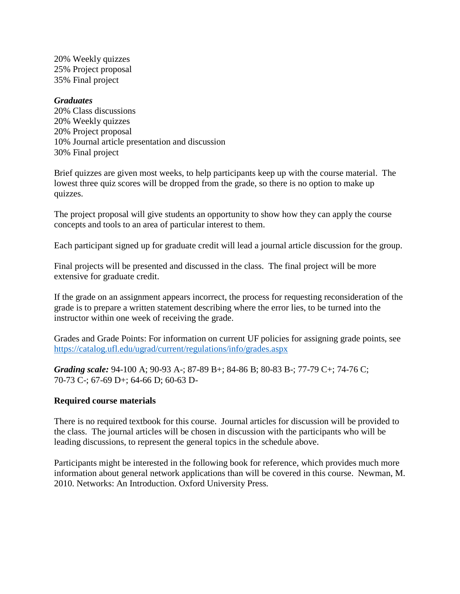20% Weekly quizzes 25% Project proposal 35% Final project

#### *Graduates*

20% Class discussions 20% Weekly quizzes 20% Project proposal 10% Journal article presentation and discussion 30% Final project

Brief quizzes are given most weeks, to help participants keep up with the course material. The lowest three quiz scores will be dropped from the grade, so there is no option to make up quizzes.

The project proposal will give students an opportunity to show how they can apply the course concepts and tools to an area of particular interest to them.

Each participant signed up for graduate credit will lead a journal article discussion for the group.

Final projects will be presented and discussed in the class. The final project will be more extensive for graduate credit.

If the grade on an assignment appears incorrect, the process for requesting reconsideration of the grade is to prepare a written statement describing where the error lies, to be turned into the instructor within one week of receiving the grade.

Grades and Grade Points: For information on current UF policies for assigning grade points, see <https://catalog.ufl.edu/ugrad/current/regulations/info/grades.aspx>

*Grading scale:* 94-100 A; 90-93 A-; 87-89 B+; 84-86 B; 80-83 B-; 77-79 C+; 74-76 C; 70-73 C-; 67-69 D+; 64-66 D; 60-63 D-

#### **Required course materials**

There is no required textbook for this course. Journal articles for discussion will be provided to the class. The journal articles will be chosen in discussion with the participants who will be leading discussions, to represent the general topics in the schedule above.

Participants might be interested in the following book for reference, which provides much more information about general network applications than will be covered in this course. Newman, M. 2010. Networks: An Introduction. Oxford University Press.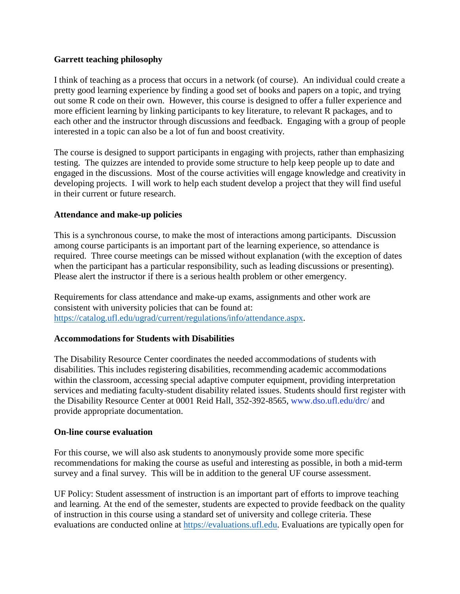#### **Garrett teaching philosophy**

I think of teaching as a process that occurs in a network (of course). An individual could create a pretty good learning experience by finding a good set of books and papers on a topic, and trying out some R code on their own. However, this course is designed to offer a fuller experience and more efficient learning by linking participants to key literature, to relevant R packages, and to each other and the instructor through discussions and feedback. Engaging with a group of people interested in a topic can also be a lot of fun and boost creativity.

The course is designed to support participants in engaging with projects, rather than emphasizing testing. The quizzes are intended to provide some structure to help keep people up to date and engaged in the discussions. Most of the course activities will engage knowledge and creativity in developing projects. I will work to help each student develop a project that they will find useful in their current or future research.

#### **Attendance and make-up policies**

This is a synchronous course, to make the most of interactions among participants. Discussion among course participants is an important part of the learning experience, so attendance is required. Three course meetings can be missed without explanation (with the exception of dates when the participant has a particular responsibility, such as leading discussions or presenting). Please alert the instructor if there is a serious health problem or other emergency.

Requirements for class attendance and make-up exams, assignments and other work are consistent with university policies that can be found at: [https://catalog.ufl.edu/ugrad/current/regulations/info/attendance.aspx.](https://catalog.ufl.edu/ugrad/current/regulations/info/attendance.aspx)

## **Accommodations for Students with Disabilities**

The Disability Resource Center coordinates the needed accommodations of students with disabilities. This includes registering disabilities, recommending academic accommodations within the classroom, accessing special adaptive computer equipment, providing interpretation services and mediating faculty-student disability related issues. Students should first register with the Disability Resource Center at 0001 Reid Hall, 352-392-8565, www.dso.ufl.edu/drc/ and provide appropriate documentation.

#### **On-line course evaluation**

For this course, we will also ask students to anonymously provide some more specific recommendations for making the course as useful and interesting as possible, in both a mid-term survey and a final survey. This will be in addition to the general UF course assessment.

UF Policy: Student assessment of instruction is an important part of efforts to improve teaching and learning. At the end of the semester, students are expected to provide feedback on the quality of instruction in this course using a standard set of university and college criteria. These evaluations are conducted online at [https://evaluations.ufl.edu.](https://evaluations.ufl.edu/) Evaluations are typically open for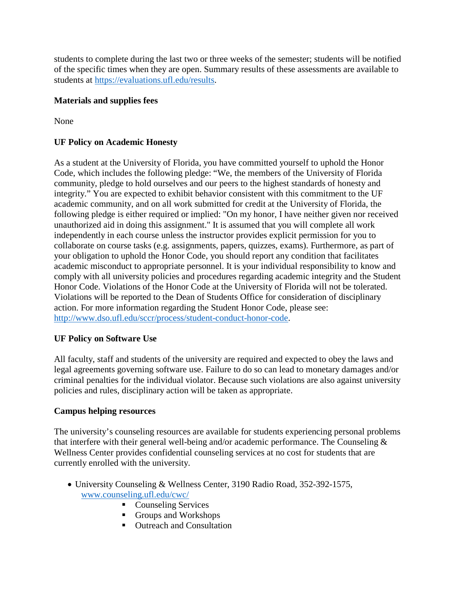students to complete during the last two or three weeks of the semester; students will be notified of the specific times when they are open. Summary results of these assessments are available to students at [https://evaluations.ufl.edu/results.](https://evaluations.ufl.edu/results)

# **Materials and supplies fees**

None

# **UF Policy on Academic Honesty**

As a student at the University of Florida, you have committed yourself to uphold the Honor Code, which includes the following pledge: "We, the members of the University of Florida community, pledge to hold ourselves and our peers to the highest standards of honesty and integrity." You are expected to exhibit behavior consistent with this commitment to the UF academic community, and on all work submitted for credit at the University of Florida, the following pledge is either required or implied: "On my honor, I have neither given nor received unauthorized aid in doing this assignment." It is assumed that you will complete all work independently in each course unless the instructor provides explicit permission for you to collaborate on course tasks (e.g. assignments, papers, quizzes, exams). Furthermore, as part of your obligation to uphold the Honor Code, you should report any condition that facilitates academic misconduct to appropriate personnel. It is your individual responsibility to know and comply with all university policies and procedures regarding academic integrity and the Student Honor Code. Violations of the Honor Code at the University of Florida will not be tolerated. Violations will be reported to the Dean of Students Office for consideration of disciplinary action. For more information regarding the Student Honor Code, please see: [http://www.dso.ufl.edu/sccr/process/student-conduct-honor-code.](http://www.dso.ufl.edu/sccr/process/student-conduct-honor-code)

# **UF Policy on Software Use**

All faculty, staff and students of the university are required and expected to obey the laws and legal agreements governing software use. Failure to do so can lead to monetary damages and/or criminal penalties for the individual violator. Because such violations are also against university policies and rules, disciplinary action will be taken as appropriate.

## **Campus helping resources**

The university's counseling resources are available for students experiencing personal problems that interfere with their general well-being and/or academic performance. The Counseling & Wellness Center provides confidential counseling services at no cost for students that are currently enrolled with the university.

- University Counseling & Wellness Center, 3190 Radio Road, 352-392-1575, [www.counseling.ufl.edu/cwc/](http://www.counseling.ufl.edu/cwc/)
	- **Counseling Services**
	- Groups and Workshops
	- Outreach and Consultation